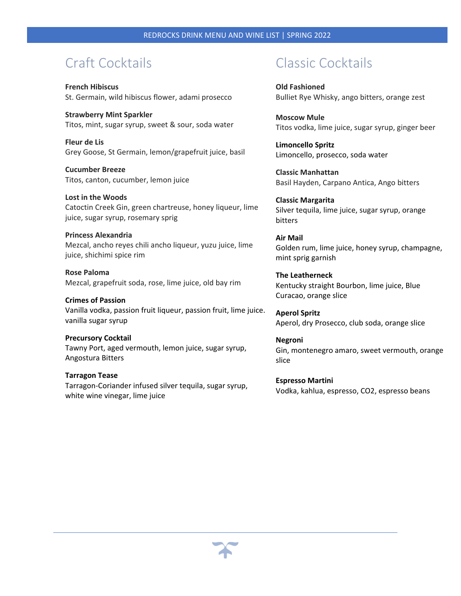## Craft Cocktails

**French Hibiscus** St. Germain, wild hibiscus flower, adami prosecco

**Strawberry Mint Sparkler** Titos, mint, sugar syrup, sweet & sour, soda water

**Fleur de Lis** Grey Goose, St Germain, lemon/grapefruit juice, basil

**Cucumber Breeze** Titos, canton, cucumber, lemon juice

**Lost in the Woods** Catoctin Creek Gin, green chartreuse, honey liqueur, lime juice, sugar syrup, rosemary sprig

**Princess Alexandria** Mezcal, ancho reyes chili ancho liqueur, yuzu juice, lime juice, shichimi spice rim

**Rose Paloma** Mezcal, grapefruit soda, rose, lime juice, old bay rim

**Crimes of Passion** Vanilla vodka, passion fruit liqueur, passion fruit, lime juice. vanilla sugar syrup

**Precursory Cocktail** Tawny Port, aged vermouth, lemon juice, sugar syrup, Angostura Bitters

**Tarragon Tease** Tarragon‐Coriander infused silver tequila, sugar syrup, white wine vinegar, lime juice

## Classic Cocktails

**Old Fashioned** Bulliet Rye Whisky, ango bitters, orange zest

**Moscow Mule** Titos vodka, lime juice, sugar syrup, ginger beer

**Limoncello Spritz** Limoncello, prosecco, soda water

**Classic Manhattan** Basil Hayden, Carpano Antica, Ango bitters

**Classic Margarita** Silver tequila, lime juice, sugar syrup, orange bitters

**Air Mail** Golden rum, lime juice, honey syrup, champagne, mint sprig garnish

**The Leatherneck** Kentucky straight Bourbon, lime juice, Blue Curacao, orange slice

**Aperol Spritz** Aperol, dry Prosecco, club soda, orange slice

**Negroni** Gin, montenegro amaro, sweet vermouth, orange slice

**Espresso Martini** Vodka, kahlua, espresso, CO2, espresso beans

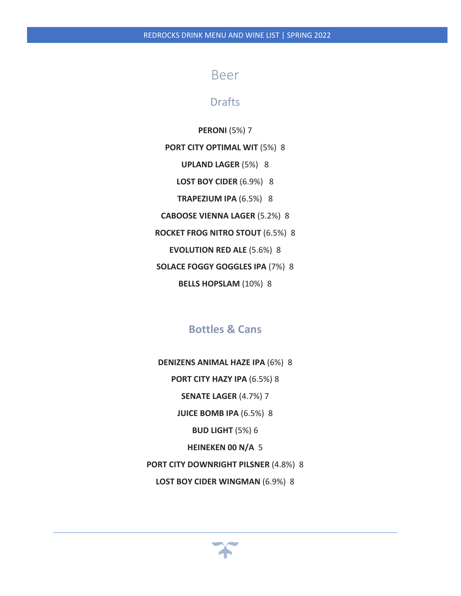### Beer

### Drafts

#### **PERONI** (5%) 7

**PORT CITY OPTIMAL WIT** (5%) 8

**UPLAND LAGER** (5%) 8

**LOST BOY CIDER** (6.9%) 8

**TRAPEZIUM IPA** (6.5%) 8

**CABOOSE VIENNA LAGER** (5.2%) 8

**ROCKET FROG NITRO STOUT** (6.5%) 8

**EVOLUTION RED ALE** (5.6%) 8

**SOLACE FOGGY GOGGLES IPA** (7%) 8

**BELLS HOPSLAM** (10%) 8

### **Bottles & Cans**

- **DENIZENS ANIMAL HAZE IPA** (6%)8 **PORT CITY HAZY IPA** (6.5%) 8 **SENATE LAGER** (4.7%) 7 **JUICE BOMB IPA** (6.5%) 8 **BUD LIGHT** (5%) 6 **HEINEKEN 00 N/A** 5 **PORT CITY DOWNRIGHT PILSNER** (4.8%) 8
	- **LOST BOY CIDER WINGMAN** (6.9%) 8

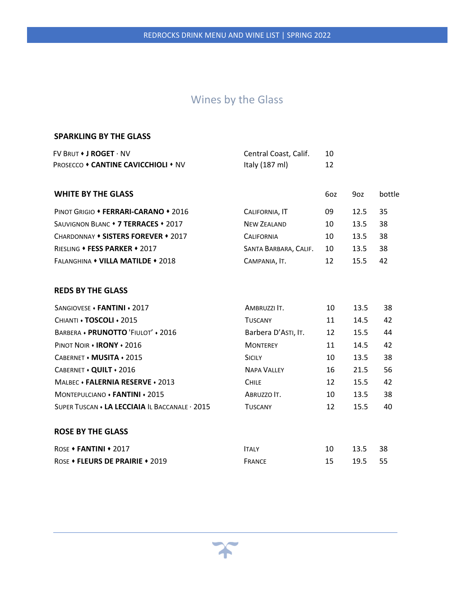### Wines by the Glass

#### **SPARKLING BY THE GLASS**

| $FV$ BRUT $\bullet$ J ROGET $\cdot$ NV     | Central Coast, Calif.    |  |
|--------------------------------------------|--------------------------|--|
| <b>PROSECCO • CANTINE CAVICCHIOLI • NV</b> | Italy $(187 \text{ ml})$ |  |

| <b>WHITE BY THE GLASS</b>            |                       | 6oz | 90z  | bottle |
|--------------------------------------|-----------------------|-----|------|--------|
| PINOT GRIGIO • FERRARI-CARANO • 2016 | CALIFORNIA, IT        | 09  | 12.5 | 35     |
| SAUVIGNON BLANC • 7 TERRACES • 2017  | <b>NEW ZEALAND</b>    | 10  | 13.5 | 38     |
| CHARDONNAY • SISTERS FOREVER • 2017  | <b>CALIFORNIA</b>     | 10  | 13.5 | 38     |
| RIESLING • FESS PARKER • 2017        | SANTA BARBARA, CALIF. | 10  | 13.5 | 38     |
| FALANGHINA • VILLA MATILDE • 2018    | CAMPANIA, IT.         | 12  | 15.5 | 42     |

#### **REDS BY THE GLASS**

| SANGIOVESE • FANTINI • 2017                      | AMBRUZZI IT.        | 10 | 13.5 | 38 |  |
|--------------------------------------------------|---------------------|----|------|----|--|
| CHIANTI . TOSCOLI . 2015                         | <b>TUSCANY</b>      | 11 | 14.5 | 42 |  |
| BARBERA • PRUNOTTO 'FIULOT' • 2016               | Barbera D'ASTI, IT. | 12 | 15.5 | 44 |  |
| PINOT NOIR . IRONY . 2016                        | <b>MONTEREY</b>     | 11 | 14.5 | 42 |  |
| CABERNET • MUSITA • 2015                         | <b>SICILY</b>       | 10 | 13.5 | 38 |  |
| CABERNET • QUILT • 2016                          | <b>NAPA VALLEY</b>  | 16 | 21.5 | 56 |  |
| MAIREC • FALERNIA RESERVE • 2013                 | <b>CHILE</b>        | 12 | 15.5 | 42 |  |
| MONTEPULCIANO . FANTINI . 2015                   | ABRUZZO IT.         | 10 | 13.5 | 38 |  |
| SUPER TUSCAN • LA LECCIAIA IL BACCANALE · 2015   | <b>TUSCANY</b>      | 12 | 15.5 | 40 |  |
|                                                  |                     |    |      |    |  |
| <b>ROSE BY THE GLASS</b>                         |                     |    |      |    |  |
| ROSE $\triangle$ <b>FANTINI</b> $\triangle$ 2017 | <b>ITALY</b>        | 10 | 13.5 | 38 |  |

ROSE **FLEURS DE PRAIRIE** 2019 FRANCE 15 19.5 55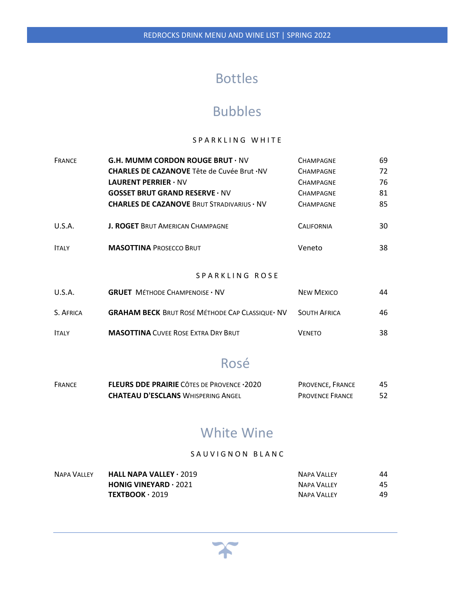# Bottles

## Bubbles

#### SPARKLING WHITE

| <b>FRANCE</b>   | <b>G.H. MUMM CORDON ROUGE BRUT <math>\cdot</math> NV</b> | <b>CHAMPAGNE</b>    | 69  |
|-----------------|----------------------------------------------------------|---------------------|-----|
|                 | <b>CHARLES DE CAZANOVE</b> Tête de Cuvée Brut · NV       | <b>CHAMPAGNE</b>    | 72  |
|                 | <b>LAURENT PERRIER <math>\cdot</math> NV</b>             | <b>CHAMPAGNE</b>    | 76  |
|                 | <b>GOSSET BRUT GRAND RESERVE · NV</b>                    | <b>CHAMPAGNE</b>    | 81  |
|                 | <b>CHARLES DE CAZANOVE BRUT STRADIVARIUS · NV</b>        | <b>CHAMPAGNE</b>    | 85  |
| U.S.A.          | <b>J. ROGET BRUT AMERICAN CHAMPAGNE</b>                  | <b>CALIFORNIA</b>   | 30  |
| <b>ITALY</b>    | <b>MASOTTINA PROSECCO BRUT</b>                           | Veneto              | 38  |
|                 | SPARKLING ROSE                                           |                     |     |
| U.S.A.          | <b>GRUET MÉTHODE CHAMPENOISE · NV</b>                    | <b>NEW MEXICO</b>   | 44  |
| <b>S</b> AFRICA | <b>GRAHAM RECK</b> RRUT ROSÉ MÉTHODE CAR CLASSIOUE, NIV  | <b>SOUTH AERICA</b> | 46. |

| <b>J. AFRILA</b> | <b>GRAHAIVI DECK DRUI NUSE IVIEI HUDE CAP CLASSIQUE' IVV</b> | <b>SUUTH AFRICA</b> | 40 |
|------------------|--------------------------------------------------------------|---------------------|----|
| <b>ITALY</b>     | <b>MASOTTINA</b> CUVEE ROSE EXTRA DRY BRUT                   | <b>VENETO</b>       | 38 |

# Rosé

| <b>FRANCE</b> | <b>FLEURS DDE PRAIRIE</b> CÔTES DE PROVENCE · 2020 | <b>PROVENCE. FRANCE</b> | 45 |
|---------------|----------------------------------------------------|-------------------------|----|
|               | <b>CHATEAU D'ESCLANS WHISPERING ANGEL</b>          | <b>PROVENCE FRANCE</b>  |    |

## White Wine

#### SAUVIGNON BLANC

| <b>NAPA VALLEY</b> | <b>HALL NAPA VALLEY</b> $\cdot$ 2019          | <b>NAPA VALLEY</b> | 44 |
|--------------------|-----------------------------------------------|--------------------|----|
|                    | <b>HONIG VINEYARD <math>\cdot</math> 2021</b> | NAPA VALLEY        | 45 |
|                    | $TEXTBOOK · 2019$                             | <b>NAPA VALLEY</b> | 49 |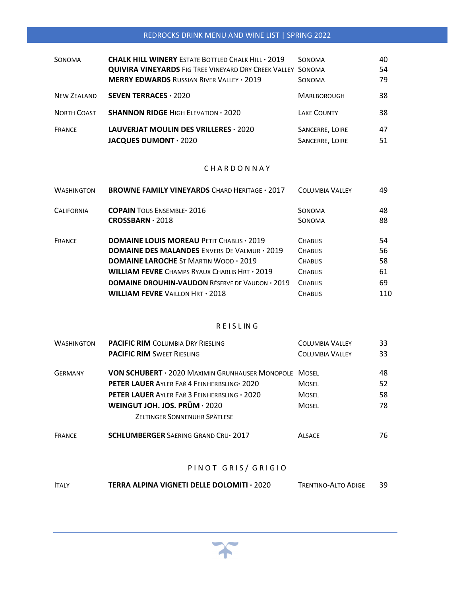### REDROCKS DRINK MENU AND WINE LIST | SPRING 2022

| SONOMA      | <b>CHALK HILL WINERY ESTATE BOTTLED CHALK HILL . 2019</b>          | <b>SONOMA</b>      | 40 |
|-------------|--------------------------------------------------------------------|--------------------|----|
|             | <b>QUIVIRA VINEYARDS FIG TREE VINEYARD DRY CREEK VALLEY SONOMA</b> |                    | 54 |
|             | <b>MERRY EDWARDS RUSSIAN RIVER VALLEY . 2019</b>                   | <b>SONOMA</b>      | 79 |
| NEW ZEALAND | <b>SEVEN TERRACES · 2020</b>                                       | <b>MARLBOROUGH</b> | 38 |
| NORTH COAST | <b>SHANNON RIDGE HIGH ELEVATION · 2020</b>                         | <b>LAKE COUNTY</b> | 38 |
| FRANCE      | LAUVERJAT MOULIN DES VRILLERES · 2020                              | SANCERRE, LOIRE    | 47 |
|             | JACQUES DUMONT · 2020                                              | SANCERRE, LOIRE    | 51 |

#### C H A R D O N N A Y

| <b>WASHINGTON</b> | <b>BROWNE FAMILY VINEYARDS CHARD HERITAGE . 2017</b>   | <b>COLUMBIA VALLEY</b> | 49  |
|-------------------|--------------------------------------------------------|------------------------|-----|
| <b>CALIFORNIA</b> | <b>COPAIN TOUS ENSEMBLE</b> 2016                       | SONOMA                 | 48  |
|                   | $CROSSBARN \cdot 2018$                                 | SONOMA                 | 88  |
| <b>FRANCE</b>     | <b>DOMAINE LOUIS MOREAU PETIT CHABLIS . 2019</b>       | <b>CHABLIS</b>         | 54  |
|                   | <b>DOMAINE DES MALANDES ENVERS DE VALMUR · 2019</b>    | <b>CHABLIS</b>         | 56  |
|                   | <b>DOMAINE LAROCHE ST MARTIN WOOD . 2019</b>           | <b>CHABLIS</b>         | 58  |
|                   | <b>WILLIAM FEVRE</b> CHAMPS RYAUX CHABLIS HRT · 2019   | <b>CHABLIS</b>         | 61  |
|                   | <b>DOMAINE DROUHIN-VAUDON RÉSERVE DE VAUDON · 2019</b> | <b>CHABLIS</b>         | 69  |
|                   | <b>WILLIAM FEVRE VAILLON HRT · 2018</b>                | <b>CHABLIS</b>         | 110 |

#### R E I S L IN G

| <b>WASHINGTON</b> | <b>PACIFIC RIM COLUMBIA DRY RIESLING</b>                     | <b>COLUMBIA VALLEY</b> | 33 |
|-------------------|--------------------------------------------------------------|------------------------|----|
|                   | <b>PACIFIC RIM SWEET RIESLING</b>                            | <b>COLUMBIA VALLEY</b> | 33 |
| <b>GERMANY</b>    | <b>VON SCHUBERT · 2020 MAXIMIN GRUNHAUSER MONOPOLE MOSEL</b> |                        | 48 |
|                   | PETER LAUER AYLER FAB 4 FEINHERBSLING . 2020                 | <b>MOSEL</b>           | 52 |
|                   | <b>PETER LAUER AYLER FAB 3 FEINHERBSLING . 2020</b>          | <b>MOSEL</b>           | 58 |
|                   | WEINGUT JOH. JOS. PRÜM $\cdot$ 2020                          | <b>MOSFI</b>           | 78 |
|                   | ZELTINGER SONNENUHR SPÄTLESE                                 |                        |    |
| <b>FRANCE</b>     | <b>SCHLUMBERGER SAERING GRAND CRU-2017</b>                   | <b>ALSACE</b>          | 76 |

#### PINOT GRIS/ GRIGIO

| -39 |
|-----|
|     |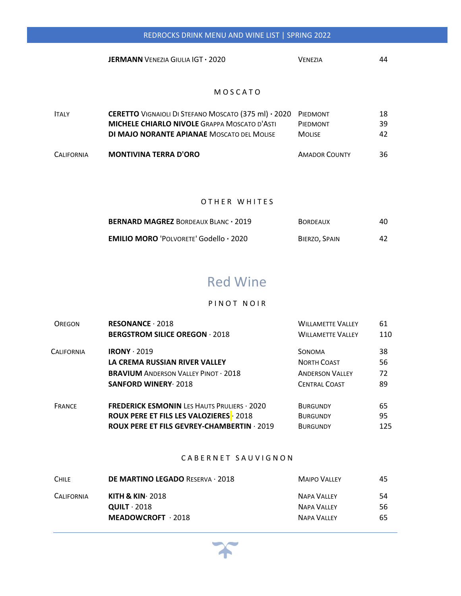| <b>VENEZIA</b> |  |
|----------------|--|
|                |  |

#### M O S C A T O

| <b>CALIFORNIA</b> | <b>MONTIVINA TERRA D'ORO</b>                                         | <b>AMADOR COUNTY</b> | 36  |
|-------------------|----------------------------------------------------------------------|----------------------|-----|
|                   | <b>DI MAJO NORANTE APIANAE MOSCATO DEL MOLISE</b>                    | <b>MOLISE</b>        | 42  |
|                   | <b>MICHELE CHIARLO NIVOLE GRAPPA MOSCATO D'ASTI</b>                  | PIEDMONT             | 39. |
| <b>ITALY</b>      | <b>CERETTO</b> VIGNAIOLI DI STEFANO MOSCATO (375 ml) · 2020 PIEDMONT |                      | 18  |

#### OTHER WHITES

| BERNARD MAGREZ BORDEAUX BLANC · 2019          | <b>BORDEAUX</b> | 40 |
|-----------------------------------------------|-----------------|----|
| <b>EMILIO MORO 'POLVORETE' Godello · 2020</b> | BIERZO, SPAIN   | 42 |

## Red Wine

#### PIN OT NOIR

| ORFGON        | RESONANCE $\cdot$ 2018                             | <b>WILLAMETTE VALLEY</b> | 61  |
|---------------|----------------------------------------------------|--------------------------|-----|
|               | <b>BERGSTROM SILICE OREGON · 2018</b>              | <b>WILLAMETTE VALLEY</b> | 110 |
| CALIFORNIA    | $IRONY \cdot 2019$                                 | SONOMA                   | 38  |
|               | LA CREMA RUSSIAN RIVER VALLEY                      | <b>NORTH COAST</b>       | 56  |
|               | <b>BRAVIUM ANDERSON VALLEY PINOT · 2018</b>        | <b>ANDERSON VALLEY</b>   | 72  |
|               | <b>SANFORD WINERY 2018</b>                         | <b>CENTRAL COAST</b>     | 89  |
| <b>FRANCE</b> | <b>FREDERICK ESMONIN LES HAUTS PRULIERS · 2020</b> | <b>BURGUNDY</b>          | 65  |
|               | <b>ROUX PERE ET FILS LES VALOZIERES</b> 2018       | <b>BURGUNDY</b>          | 95  |
|               | <b>ROUX PERE ET FILS GEVREY-CHAMBERTIN · 2019</b>  | <b>BURGUNDY</b>          | 125 |

#### CABERNET SAUVIGNON

| <b>DE MARTINO LEGADO RESERVA · 2018</b> | <b>MAIPO VALLEY</b> | 45 |
|-----------------------------------------|---------------------|----|
| KITH & KIN $\cdot$ 2018                 | <b>NAPA VALLEY</b>  | 54 |
| $QUILT \cdot 2018$                      | <b>NAPA VALLEY</b>  | 56 |
| $MEADOWCROFT \cdot 2018$                | <b>NAPA VALLEY</b>  | 65 |
|                                         |                     |    |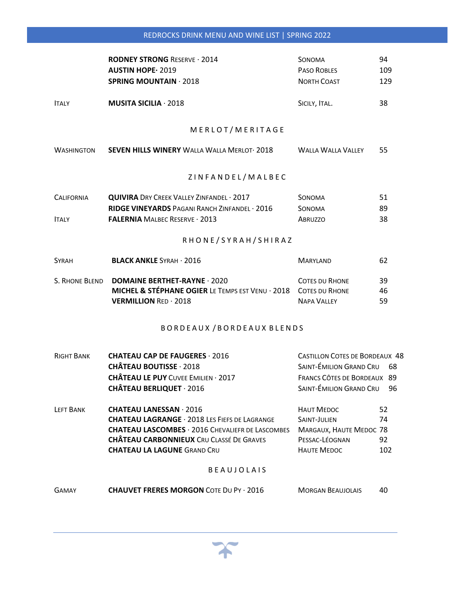|                   | <b>RODNEY STRONG RESERVE · 2014</b>                             | SONOMA                                | 94  |
|-------------------|-----------------------------------------------------------------|---------------------------------------|-----|
|                   | <b>AUSTIN HOPE · 2019</b>                                       | PASO ROBLES                           | 109 |
|                   | <b>SPRING MOUNTAIN 2018</b>                                     | <b>NORTH COAST</b>                    | 129 |
| <b>ITALY</b>      | <b>MUSITA SICILIA</b> $\cdot$ 2018                              | SICILY, ITAL.                         | 38  |
|                   | MERLOT/MERITAGE                                                 |                                       |     |
| WASHINGTON        | <b>SEVEN HILLS WINERY WALLA WALLA MERLOT 2018</b>               | <b>WALLA WALLA VALLEY</b>             | 55  |
|                   | ZINFANDEL/MALBEC                                                |                                       |     |
| <b>CALIFORNIA</b> | <b>QUIVIRA</b> DRY CREEK VALLEY ZINFANDEL · 2017                | <b>SONOMA</b>                         | 51  |
|                   | RIDGE VINEYARDS PAGANI RANCH ZINFANDEL · 2016                   | <b>SONOMA</b>                         | 89  |
| <b>ITALY</b>      | <b>FALERNIA MALBEC RESERVE · 2013</b>                           | <b>ABRUZZO</b>                        | 38  |
|                   | RHONE/SYRAH/SHIRAZ                                              |                                       |     |
| <b>SYRAH</b>      | <b>BLACK ANKLE SYRAH · 2016</b>                                 | <b>MARYLAND</b>                       | 62  |
| S. RHONE BLEND    | <b>DOMAINE BERTHET-RAYNE · 2020</b>                             | <b>COTES DU RHONE</b>                 | 39  |
|                   | MICHEL & STÉPHANE OGIER LE TEMPS EST VENU · 2018 COTES DU RHONE |                                       | 46  |
|                   | <b>VERMILLION RED · 2018</b>                                    | <b>NAPA VALLEY</b>                    | 59  |
|                   | BORDEAUX / BORDEAUX BLENDS                                      |                                       |     |
| <b>RIGHT BANK</b> | <b>CHATEAU CAP DE FAUGERES 2016</b>                             | <b>CASTILLON COTES DE BORDEAUX 48</b> |     |
|                   | <b>CHÂTEAU BOUTISSE 2018</b>                                    | SAINT-ÉMILION GRAND CRU 68            |     |
|                   | <b>CHÂTEAU LE PUY CUVEE EMILIEN · 2017</b>                      | FRANCS CÔTES DE BORDEAUX 89           |     |
|                   | CHÂTEAU BERLIQUET · 2016                                        | SAINT-ÉMILION GRAND CRU               | 96  |
| LEFT BANK         | <b>CHATEAU LANESSAN · 2016</b>                                  | <b>HAUT MEDOC</b>                     | 52  |

 **CHATEAU LAGRANGE** ∙ 2018 LES FIEFS DE LAGRANGE SAINT‐JULIEN 74 **CHATEAU LASCOMBES** ∙ 2016 CHEVALIEFR DE LASCOMBES MARGAUX, HAUTE MEDOC 78  **CHÂTEAU CARBONNIEUX** CRU CLASSÉ DE GRAVES PESSAC‐LÉOGNAN 92  **CHATEAU LA LAGUNE** GRAND CRU HAUTE MEDOC 102

#### B E A U J O L A I S

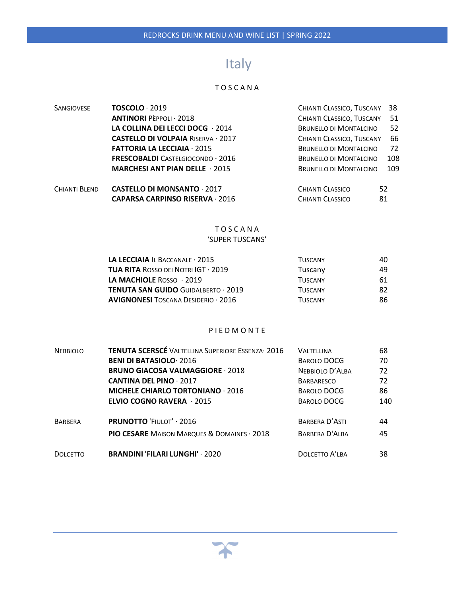# Italy

#### T O S C A N A

| <b>SANGIOVESE</b> | $TOSCOLO \cdot 2019$                      | CHIANTI CLASSICO, TUSCANY     | 38  |
|-------------------|-------------------------------------------|-------------------------------|-----|
|                   | <b>ANTINORI PEPPOLI · 2018</b>            | CHIANTI CLASSICO, TUSCANY     | 51  |
|                   | LA COLLINA DEI LECCI DOCG $\cdot$ 2014    | <b>BRUNELLO DI MONTALCINO</b> | 52  |
|                   | <b>CASTELLO DI VOLPAIA RISERVA · 2017</b> | CHIANTI CLASSICO, TUSCANY     | 66  |
|                   | <b>FATTORIA LA LECCIAIA · 2015</b>        | <b>BRUNELLO DI MONTALCINO</b> | 72  |
|                   | <b>FRESCOBALDI</b> CASTELGIOCONDO · 2016  | <b>BRUNELLO DI MONTALCINO</b> | 108 |
|                   | <b>MARCHESI ANT PIAN DELLE 2015</b>       | <b>BRUNELLO DI MONTALCINO</b> | 109 |
| CHIANTI BLEND     | <b>CASTELLO DI MONSANTO 2017</b>          | 52<br>CHIANTI CLASSICO        |     |
|                   | <b>CAPARSA CARPINSO RISERVA 2016</b>      | CHIANTI CLASSICO<br>81        |     |

#### T O S C A N A 'SUPER TUSCANS'

| <b>LA LECCIAIA</b> IL BACCANALE $\cdot$ 2015                | <b>TUSCANY</b> | 40 |
|-------------------------------------------------------------|----------------|----|
| <b>TUA RITA ROSSO DEI NOTRI IGT <math>\cdot</math> 2019</b> | Tuscany        | 49 |
| <b>LA MACHIOLE</b> ROSSO $\cdot$ 2019                       | <b>TUSCANY</b> | 61 |
| <b>TENUTA SAN GUIDO GUIDALBERTO · 2019</b>                  | <b>TUSCANY</b> | 82 |
| <b>AVIGNONESI TOSCANA DESIDERIO <math>\cdot</math> 2016</b> | <b>TUSCANY</b> | 86 |

#### P I E D M O N T E

| <b>NEBBIOLO</b> | TENUTA SCERSCÉ VALTELLINA SUPERIORE ESSENZA 2016       | VALTELLINA         | 68  |
|-----------------|--------------------------------------------------------|--------------------|-----|
|                 | <b>BENI DI BATASIOLO 2016</b>                          | BAROLO DOCG        | 70  |
|                 | <b>BRUNO GIACOSA VALMAGGIORE 2018</b>                  | NEBBIOLO D'ALBA    | 72  |
|                 | <b>CANTINA DEL PINO 2017</b>                           | <b>BARBARESCO</b>  | 72  |
|                 | <b>MICHELE CHIARLO TORTONIANO 2016</b>                 | BAROLO DOCG        | 86  |
|                 | <b>ELVIO COGNO RAVERA</b> $\cdot$ 2015                 | <b>BAROLO DOCG</b> | 140 |
| <b>BARBERA</b>  | <b>PRUNOTTO 'FIULOT' · 2016</b>                        | BARBERA D'ASTI     | 44  |
|                 | <b>PIO CESARE MAISON MARQUES &amp; DOMAINES . 2018</b> | BARBERA D'ALBA     | 45  |
| <b>DOLCETTO</b> | <b>BRANDINI 'FILARI LUNGHI' · 2020</b>                 | DOLCETTO A'LBA     | 38  |